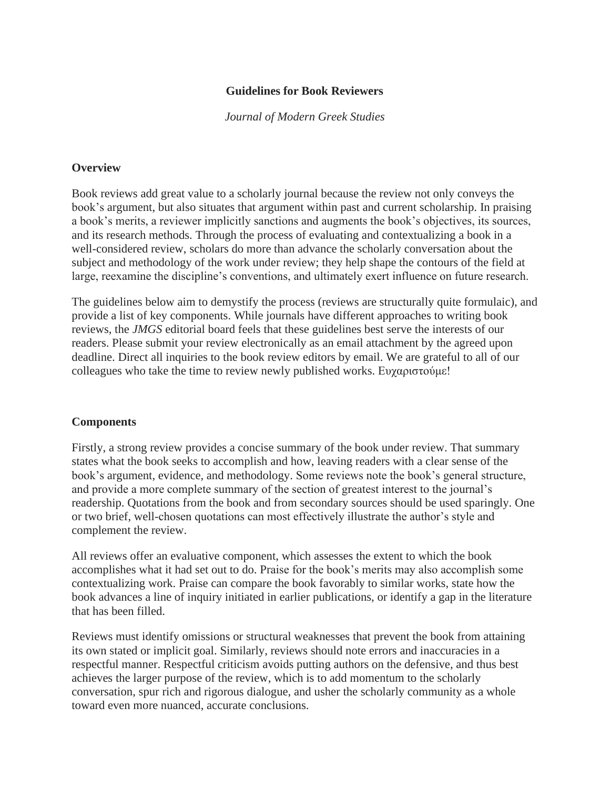# **Guidelines for Book Reviewers**

*Journal of Modern Greek Studies*

#### **Overview**

Book reviews add great value to a scholarly journal because the review not only conveys the book's argument, but also situates that argument within past and current scholarship. In praising a book's merits, a reviewer implicitly sanctions and augments the book's objectives, its sources, and its research methods. Through the process of evaluating and contextualizing a book in a well-considered review, scholars do more than advance the scholarly conversation about the subject and methodology of the work under review; they help shape the contours of the field at large, reexamine the discipline's conventions, and ultimately exert influence on future research.

The guidelines below aim to demystify the process (reviews are structurally quite formulaic), and provide a list of key components. While journals have different approaches to writing book reviews, the *JMGS* editorial board feels that these guidelines best serve the interests of our readers. Please submit your review electronically as an email attachment by the agreed upon deadline. Direct all inquiries to the book review editors by email. We are grateful to all of our colleagues who take the time to review newly published works. Ευχαριστούμε!

#### **Components**

Firstly, a strong review provides a concise summary of the book under review. That summary states what the book seeks to accomplish and how, leaving readers with a clear sense of the book's argument, evidence, and methodology. Some reviews note the book's general structure, and provide a more complete summary of the section of greatest interest to the journal's readership. Quotations from the book and from secondary sources should be used sparingly. One or two brief, well-chosen quotations can most effectively illustrate the author's style and complement the review.

All reviews offer an evaluative component, which assesses the extent to which the book accomplishes what it had set out to do. Praise for the book's merits may also accomplish some contextualizing work. Praise can compare the book favorably to similar works, state how the book advances a line of inquiry initiated in earlier publications, or identify a gap in the literature that has been filled.

Reviews must identify omissions or structural weaknesses that prevent the book from attaining its own stated or implicit goal. Similarly, reviews should note errors and inaccuracies in a respectful manner. Respectful criticism avoids putting authors on the defensive, and thus best achieves the larger purpose of the review, which is to add momentum to the scholarly conversation, spur rich and rigorous dialogue, and usher the scholarly community as a whole toward even more nuanced, accurate conclusions.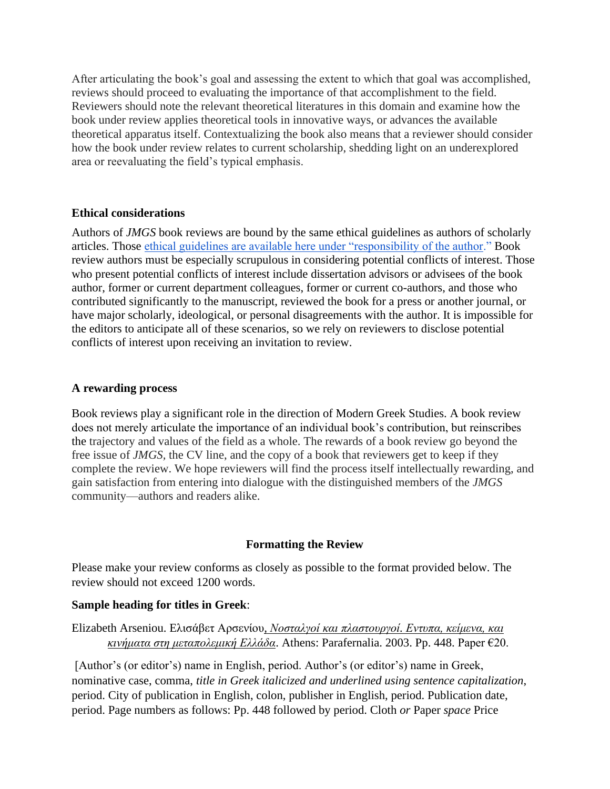After articulating the book's goal and assessing the extent to which that goal was accomplished, reviews should proceed to evaluating the importance of that accomplishment to the field. Reviewers should note the relevant theoretical literatures in this domain and examine how the book under review applies theoretical tools in innovative ways, or advances the available theoretical apparatus itself. Contextualizing the book also means that a reviewer should consider how the book under review relates to current scholarship, shedding light on an underexplored area or reevaluating the field's typical emphasis.

# **Ethical considerations**

Authors of *JMGS* book reviews are bound by the same ethical guidelines as authors of scholarly articles. Those [ethical guidelines are available here under "responsibility of the author."](https://www.press.jhu.edu/journals/author-resources/ethics-and-malpractice-statement) Book review authors must be especially scrupulous in considering potential conflicts of interest. Those who present potential conflicts of interest include dissertation advisors or advisees of the book author, former or current department colleagues, former or current co-authors, and those who contributed significantly to the manuscript, reviewed the book for a press or another journal, or have major scholarly, ideological, or personal disagreements with the author. It is impossible for the editors to anticipate all of these scenarios, so we rely on reviewers to disclose potential conflicts of interest upon receiving an invitation to review.

#### **A rewarding process**

Book reviews play a significant role in the direction of Modern Greek Studies. A book review does not merely articulate the importance of an individual book's contribution, but reinscribes the trajectory and values of the field as a whole. The rewards of a book review go beyond the free issue of *JMGS,* the CV line, and the copy of a book that reviewers get to keep if they complete the review. We hope reviewers will find the process itself intellectually rewarding, and gain satisfaction from entering into dialogue with the distinguished members of the *JMGS*  community—authors and readers alike.

# **Formatting the Review**

Please make your review conforms as closely as possible to the format provided below. The review should not exceed 1200 words.

# **Sample heading for titles in Greek**:

Elizabeth Arseniou. Eλισάβετ Αρσενίου*, Νοσταλγοί και πλαστουργοί. Εντυπα, κείμενα, και κινήματα στη μεταπολεμική Ελλάδα*. Athens: Parafernalia. 2003. Pp. 448. Paper €20.

[Author's (or editor's) name in English, period. Author's (or editor's) name in Greek, nominative case, comma, *title in Greek italicized and underlined using sentence capitalization*, period. City of publication in English, colon, publisher in English, period. Publication date, period. Page numbers as follows: Pp. 448 followed by period. Cloth *or* Paper *space* Price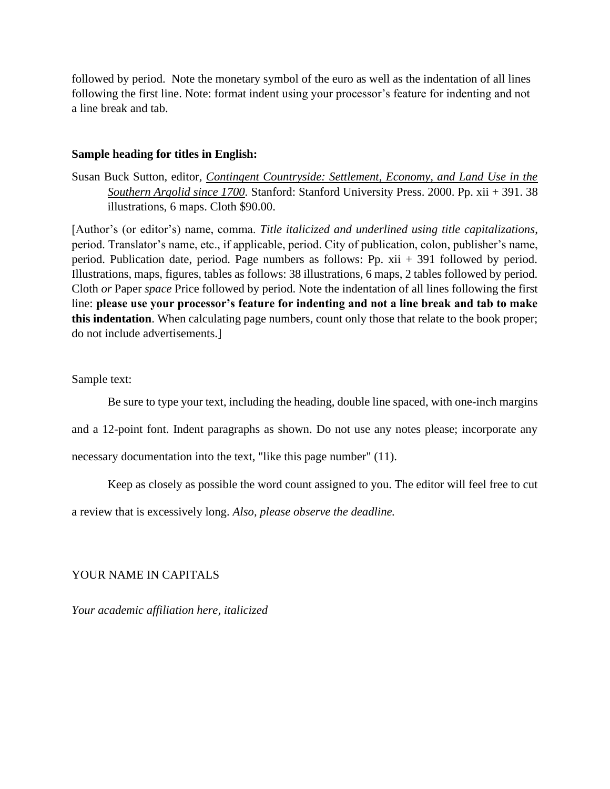followed by period. Note the monetary symbol of the euro as well as the indentation of all lines following the first line. Note: format indent using your processor's feature for indenting and not a line break and tab.

#### **Sample heading for titles in English:**

Susan Buck Sutton, editor, *Contingent Countryside: Settlement, Economy, and Land Use in the Southern Argolid since 1700.* Stanford: Stanford University Press. 2000. Pp. xii + 391. 38 illustrations, 6 maps. Cloth \$90.00.

[Author's (or editor's) name, comma. *Title italicized and underlined using title capitalizations*, period. Translator's name, etc., if applicable, period. City of publication, colon, publisher's name, period. Publication date, period. Page numbers as follows: Pp. xii + 391 followed by period. Illustrations, maps, figures, tables as follows: 38 illustrations, 6 maps, 2 tables followed by period. Cloth *or* Paper *space* Price followed by period. Note the indentation of all lines following the first line: **please use your processor's feature for indenting and not a line break and tab to make this indentation**. When calculating page numbers, count only those that relate to the book proper; do not include advertisements.]

Sample text:

Be sure to type your text, including the heading, double line spaced, with one-inch margins

and a 12-point font. Indent paragraphs as shown. Do not use any notes please; incorporate any

necessary documentation into the text, "like this page number" (11).

Keep as closely as possible the word count assigned to you. The editor will feel free to cut

a review that is excessively long. *Also, please observe the deadline.*

# YOUR NAME IN CAPITALS

*Your academic affiliation here, italicized*